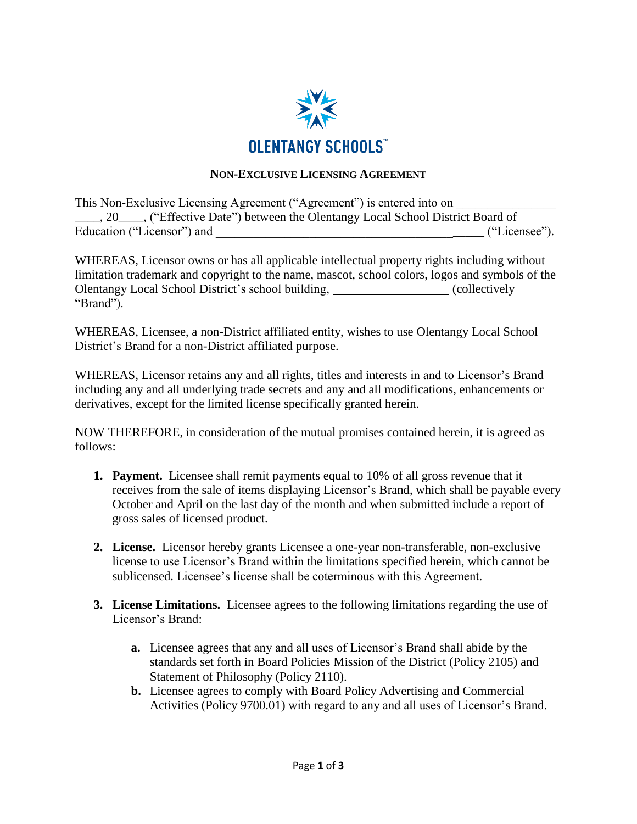

## **NON-EXCLUSIVE LICENSING AGREEMENT**

|                            | This Non-Exclusive Licensing Agreement ("Agreement") is entered into on                   |               |
|----------------------------|-------------------------------------------------------------------------------------------|---------------|
|                            | 20 <sub>1</sub> , ("Effective Date") between the Olentangy Local School District Board of |               |
| Education ("Licensor") and |                                                                                           | ("Licensee"). |

WHEREAS, Licensor owns or has all applicable intellectual property rights including without limitation trademark and copyright to the name, mascot, school colors, logos and symbols of the Olentangy Local School District's school building, (collectively "Brand").

WHEREAS, Licensee, a non-District affiliated entity, wishes to use Olentangy Local School District's Brand for a non-District affiliated purpose.

WHEREAS, Licensor retains any and all rights, titles and interests in and to Licensor's Brand including any and all underlying trade secrets and any and all modifications, enhancements or derivatives, except for the limited license specifically granted herein.

NOW THEREFORE, in consideration of the mutual promises contained herein, it is agreed as follows:

- **1. Payment.** Licensee shall remit payments equal to 10% of all gross revenue that it receives from the sale of items displaying Licensor's Brand, which shall be payable every October and April on the last day of the month and when submitted include a report of gross sales of licensed product.
- **2. License.** Licensor hereby grants Licensee a one-year non-transferable, non-exclusive license to use Licensor's Brand within the limitations specified herein, which cannot be sublicensed. Licensee's license shall be coterminous with this Agreement.
- **3. License Limitations.** Licensee agrees to the following limitations regarding the use of Licensor's Brand:
	- **a.** Licensee agrees that any and all uses of Licensor's Brand shall abide by the standards set forth in Board Policies Mission of the District (Policy 2105) and Statement of Philosophy (Policy 2110).
	- **b.** Licensee agrees to comply with Board Policy Advertising and Commercial Activities (Policy 9700.01) with regard to any and all uses of Licensor's Brand.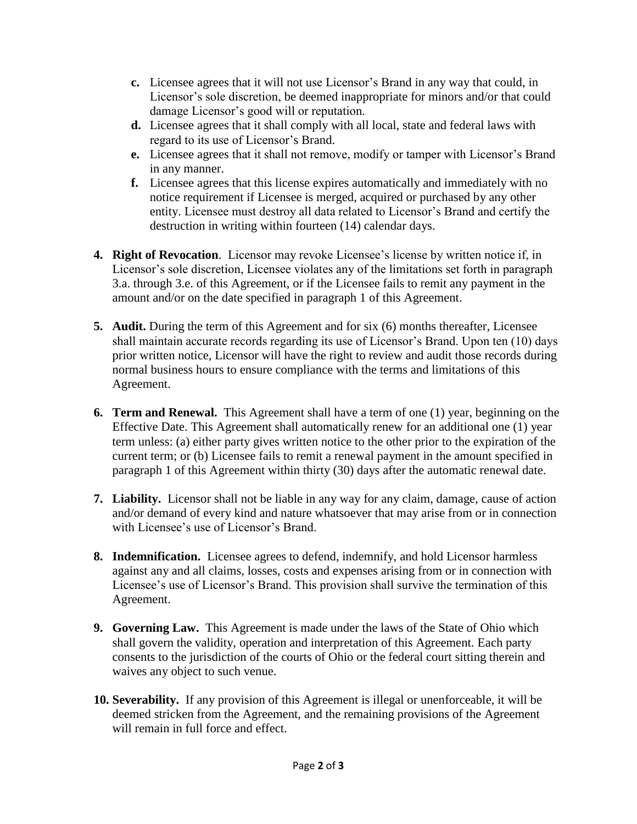- **c.** Licensee agrees that it will not use Licensor's Brand in any way that could, in Licensor's sole discretion, be deemed inappropriate for minors and/or that could damage Licensor's good will or reputation.
- **d.** Licensee agrees that it shall comply with all local, state and federal laws with regard to its use of Licensor's Brand.
- **e.** Licensee agrees that it shall not remove, modify or tamper with Licensor's Brand in any manner.
- **f.** Licensee agrees that this license expires automatically and immediately with no notice requirement if Licensee is merged, acquired or purchased by any other entity. Licensee must destroy all data related to Licensor's Brand and certify the destruction in writing within fourteen (14) calendar days.
- **4. Right of Revocation**. Licensor may revoke Licensee's license by written notice if, in Licensor's sole discretion, Licensee violates any of the limitations set forth in paragraph 3.a. through 3.e. of this Agreement, or if the Licensee fails to remit any payment in the amount and/or on the date specified in paragraph 1 of this Agreement.
- **5. Audit.** During the term of this Agreement and for six (6) months thereafter, Licensee shall maintain accurate records regarding its use of Licensor's Brand. Upon ten (10) days prior written notice, Licensor will have the right to review and audit those records during normal business hours to ensure compliance with the terms and limitations of this Agreement.
- **6. Term and Renewal.** This Agreement shall have a term of one (1) year, beginning on the Effective Date. This Agreement shall automatically renew for an additional one (1) year term unless: (a) either party gives written notice to the other prior to the expiration of the current term; or (b) Licensee fails to remit a renewal payment in the amount specified in paragraph 1 of this Agreement within thirty (30) days after the automatic renewal date.
- **7. Liability.** Licensor shall not be liable in any way for any claim, damage, cause of action and/or demand of every kind and nature whatsoever that may arise from or in connection with Licensee's use of Licensor's Brand.
- **8. Indemnification.** Licensee agrees to defend, indemnify, and hold Licensor harmless against any and all claims, losses, costs and expenses arising from or in connection with Licensee's use of Licensor's Brand. This provision shall survive the termination of this Agreement.
- **9. Governing Law.** This Agreement is made under the laws of the State of Ohio which shall govern the validity, operation and interpretation of this Agreement. Each party consents to the jurisdiction of the courts of Ohio or the federal court sitting therein and waives any object to such venue.
- **10. Severability.** If any provision of this Agreement is illegal or unenforceable, it will be deemed stricken from the Agreement, and the remaining provisions of the Agreement will remain in full force and effect.